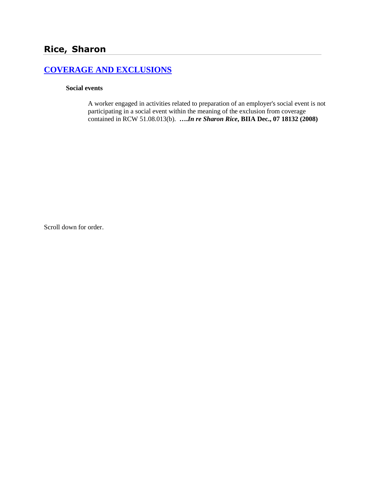# **[COVERAGE AND EXCLUSIONS](http://www.biia.wa.gov/SDSubjectIndex.html#COVERAGE_AND_EXCLUSIONS)**

#### **Social events**

A worker engaged in activities related to preparation of an employer's social event is not participating in a social event within the meaning of the exclusion from coverage contained in RCW 51.08.013(b). **….***In re Sharon Rice***, BIIA Dec., 07 18132 (2008)**

Scroll down for order.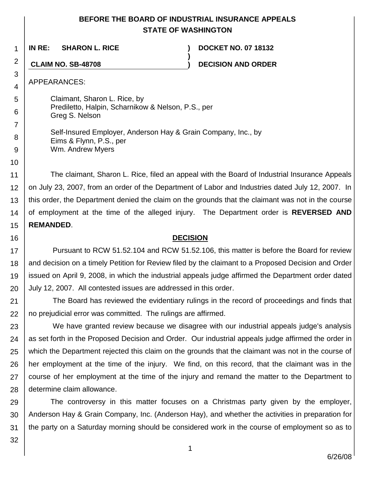## **BEFORE THE BOARD OF INDUSTRIAL INSURANCE APPEALS STATE OF WASHINGTON**

**)**

1 **IN RE: SHARON L. RICE ) DOCKET NO. 07 18132**

**CLAIM NO. SB-48708 ) DECISION AND ORDER**

APPEARANCES:

2

3 4

5

6

7

8 9

10

16

Claimant, Sharon L. Rice, by Prediletto, Halpin, Scharnikow & Nelson, P.S., per Greg S. Nelson

Self-Insured Employer, Anderson Hay & Grain Company, Inc., by Eims & Flynn, P.S., per Wm. Andrew Myers

11 12 13 14 15 The claimant, Sharon L. Rice, filed an appeal with the Board of Industrial Insurance Appeals on July 23, 2007, from an order of the Department of Labor and Industries dated July 12, 2007. In this order, the Department denied the claim on the grounds that the claimant was not in the course of employment at the time of the alleged injury. The Department order is **REVERSED AND REMANDED**.

#### **DECISION**

17 18 19 20 Pursuant to RCW 51.52.104 and RCW 51.52.106, this matter is before the Board for review and decision on a timely Petition for Review filed by the claimant to a Proposed Decision and Order issued on April 9, 2008, in which the industrial appeals judge affirmed the Department order dated July 12, 2007. All contested issues are addressed in this order.

21 22 The Board has reviewed the evidentiary rulings in the record of proceedings and finds that no prejudicial error was committed. The rulings are affirmed.

23 24 25 26 27 28 We have granted review because we disagree with our industrial appeals judge's analysis as set forth in the Proposed Decision and Order. Our industrial appeals judge affirmed the order in which the Department rejected this claim on the grounds that the claimant was not in the course of her employment at the time of the injury. We find, on this record, that the claimant was in the course of her employment at the time of the injury and remand the matter to the Department to determine claim allowance.

29 30 31 The controversy in this matter focuses on a Christmas party given by the employer, Anderson Hay & Grain Company, Inc. (Anderson Hay), and whether the activities in preparation for the party on a Saturday morning should be considered work in the course of employment so as to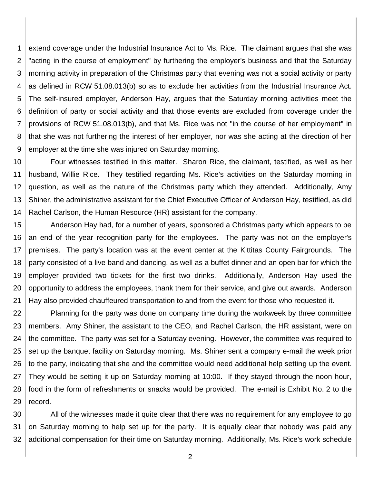1 2 3 4 5 6 7 8 9 extend coverage under the Industrial Insurance Act to Ms. Rice. The claimant argues that she was "acting in the course of employment" by furthering the employer's business and that the Saturday morning activity in preparation of the Christmas party that evening was not a social activity or party as defined in RCW 51.08.013(b) so as to exclude her activities from the Industrial Insurance Act. The self-insured employer, Anderson Hay, argues that the Saturday morning activities meet the definition of party or social activity and that those events are excluded from coverage under the provisions of RCW 51.08.013(b), and that Ms. Rice was not "in the course of her employment" in that she was not furthering the interest of her employer, nor was she acting at the direction of her employer at the time she was injured on Saturday morning.

10 11 12 13 14 Four witnesses testified in this matter. Sharon Rice, the claimant, testified, as well as her husband, Willie Rice. They testified regarding Ms. Rice's activities on the Saturday morning in question, as well as the nature of the Christmas party which they attended. Additionally, Amy Shiner, the administrative assistant for the Chief Executive Officer of Anderson Hay, testified, as did Rachel Carlson, the Human Resource (HR) assistant for the company.

15 16 17 18 19 20 21 Anderson Hay had, for a number of years, sponsored a Christmas party which appears to be an end of the year recognition party for the employees. The party was not on the employer's premises. The party's location was at the event center at the Kittitas County Fairgrounds. The party consisted of a live band and dancing, as well as a buffet dinner and an open bar for which the employer provided two tickets for the first two drinks. Additionally, Anderson Hay used the opportunity to address the employees, thank them for their service, and give out awards. Anderson Hay also provided chauffeured transportation to and from the event for those who requested it.

22 23 24 25 26 27 28 29 Planning for the party was done on company time during the workweek by three committee members. Amy Shiner, the assistant to the CEO, and Rachel Carlson, the HR assistant, were on the committee. The party was set for a Saturday evening. However, the committee was required to set up the banquet facility on Saturday morning. Ms. Shiner sent a company e-mail the week prior to the party, indicating that she and the committee would need additional help setting up the event. They would be setting it up on Saturday morning at 10:00. If they stayed through the noon hour, food in the form of refreshments or snacks would be provided. The e-mail is Exhibit No. 2 to the record.

30 31 32 All of the witnesses made it quite clear that there was no requirement for any employee to go on Saturday morning to help set up for the party. It is equally clear that nobody was paid any additional compensation for their time on Saturday morning. Additionally, Ms. Rice's work schedule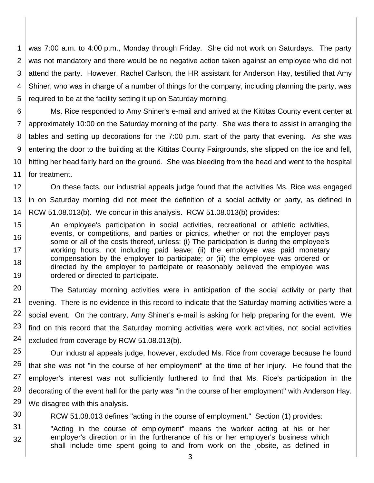1 2 3 4 5 was 7:00 a.m. to 4:00 p.m., Monday through Friday. She did not work on Saturdays. The party was not mandatory and there would be no negative action taken against an employee who did not attend the party. However, Rachel Carlson, the HR assistant for Anderson Hay, testified that Amy Shiner, who was in charge of a number of things for the company, including planning the party, was required to be at the facility setting it up on Saturday morning.

6 7 8 9 10 11 Ms. Rice responded to Amy Shiner's e-mail and arrived at the Kittitas County event center at approximately 10:00 on the Saturday morning of the party. She was there to assist in arranging the tables and setting up decorations for the 7:00 p.m. start of the party that evening. As she was entering the door to the building at the Kittitas County Fairgrounds, she slipped on the ice and fell, hitting her head fairly hard on the ground. She was bleeding from the head and went to the hospital for treatment.

12 13 14 On these facts, our industrial appeals judge found that the activities Ms. Rice was engaged in on Saturday morning did not meet the definition of a social activity or party, as defined in RCW 51.08.013(b). We concur in this analysis. RCW 51.08.013(b) provides:

15 16 17 18 19 An employee's participation in social activities, recreational or athletic activities, events, or competitions, and parties or picnics, whether or not the employer pays some or all of the costs thereof, unless: (i) The participation is during the employee's working hours, not including paid leave; (ii) the employee was paid monetary compensation by the employer to participate; or (iii) the employee was ordered or directed by the employer to participate or reasonably believed the employee was ordered or directed to participate.

20 21 22 23 24 The Saturday morning activities were in anticipation of the social activity or party that evening. There is no evidence in this record to indicate that the Saturday morning activities were a social event. On the contrary, Amy Shiner's e-mail is asking for help preparing for the event. We find on this record that the Saturday morning activities were work activities, not social activities excluded from coverage by RCW 51.08.013(b).

25 26 27 28 29 Our industrial appeals judge, however, excluded Ms. Rice from coverage because he found that she was not "in the course of her employment" at the time of her injury. He found that the employer's interest was not sufficiently furthered to find that Ms. Rice's participation in the decorating of the event hall for the party was "in the course of her employment" with Anderson Hay. We disagree with this analysis.

30 RCW 51.08.013 defines "acting in the course of employment." Section (1) provides:

31 32 "Acting in the course of employment" means the worker acting at his or her employer's direction or in the furtherance of his or her employer's business which shall include time spent going to and from work on the jobsite, as defined in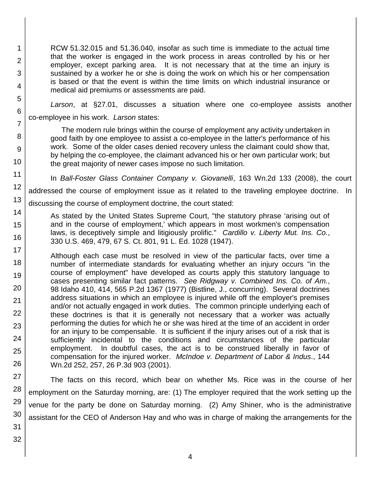RCW 51.32.015 and 51.36.040, insofar as such time is immediate to the actual time that the worker is engaged in the work process in areas controlled by his or her employer, except parking area. It is not necessary that at the time an injury is sustained by a worker he or she is doing the work on which his or her compensation is based or that the event is within the time limits on which industrial insurance or medical aid premiums or assessments are paid.

*Larson*, at §27.01, discusses a situation where one co-employee assists another co-employee in his work. *Larson* states:

The modern rule brings within the course of employment any activity undertaken in good faith by one employee to assist a co-employee in the latter's performance of his work. Some of the older cases denied recovery unless the claimant could show that, by helping the co-employee, the claimant advanced his or her own particular work; but the great majority of newer cases impose no such limitation.

In *Ball-Foster Glass Container Company v. Giovanelli*, 163 Wn.2d 133 (2008), the court

addressed the course of employment issue as it related to the traveling employee doctrine. In

13 discussing the course of employment doctrine, the court stated:

As stated by the United States Supreme Court, "the statutory phrase 'arising out of and in the course of employment,' which appears in most workmen's compensation laws, is deceptively simple and litigiously prolific." *Cardillo v. Liberty Mut. Ins. Co.*, 330 U.S. 469, 479, 67 S. Ct. 801, 91 L. Ed. 1028 (1947).

17 18 19 20 Although each case must be resolved in view of the particular facts, over time a number of intermediate standards for evaluating whether an injury occurs "in the course of employment" have developed as courts apply this statutory language to cases presenting similar fact patterns. *See Ridgway v. Combined Ins. Co. of Am.*, 98 Idaho 410, 414, 565 P.2d 1367 (1977) (Bistline, J., concurring). Several doctrines address situations in which an employee is injured while off the employer's premises and/or not actually engaged in work duties. The common principle underlying each of these doctrines is that it is generally not necessary that a worker was actually performing the duties for which he or she was hired at the time of an accident in order for an injury to be compensable. It is sufficient if the injury arises out of a risk that is sufficiently incidental to the conditions and circumstances of the particular employment. In doubtful cases, the act is to be construed liberally in favor of compensation for the injured worker. *McIndoe v. Department of Labor & Indus*., 144 Wn.2d 252, 257, 26 P.3d 903 (2001).

The facts on this record, which bear on whether Ms. Rice was in the course of her employment on the Saturday morning, are: (1) The employer required that the work setting up the venue for the party be done on Saturday morning. (2) Amy Shiner, who is the administrative assistant for the CEO of Anderson Hay and who was in charge of making the arrangements for the

1

2

3

4

5

6

7

8

9

10

11

12

14

15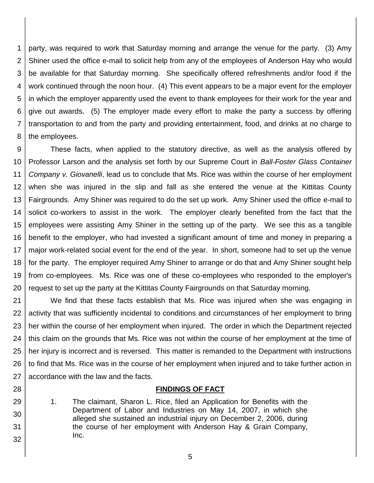1 2 3 4 5 6 7 8 party, was required to work that Saturday morning and arrange the venue for the party. (3) Amy Shiner used the office e-mail to solicit help from any of the employees of Anderson Hay who would be available for that Saturday morning. She specifically offered refreshments and/or food if the work continued through the noon hour. (4) This event appears to be a major event for the employer in which the employer apparently used the event to thank employees for their work for the year and give out awards. (5) The employer made every effort to make the party a success by offering transportation to and from the party and providing entertainment, food, and drinks at no charge to the employees.

9 10 11 12 13 14 15 16 17 18 19 20 These facts, when applied to the statutory directive, as well as the analysis offered by Professor Larson and the analysis set forth by our Supreme Court in *Ball-Foster Glass Container Company v. Giovanelli*, lead us to conclude that Ms. Rice was within the course of her employment when she was injured in the slip and fall as she entered the venue at the Kittitas County Fairgrounds. Amy Shiner was required to do the set up work. Amy Shiner used the office e-mail to solicit co-workers to assist in the work. The employer clearly benefited from the fact that the employees were assisting Amy Shiner in the setting up of the party. We see this as a tangible benefit to the employer, who had invested a significant amount of time and money in preparing a major work-related social event for the end of the year. In short, someone had to set up the venue for the party. The employer required Amy Shiner to arrange or do that and Amy Shiner sought help from co-employees. Ms. Rice was one of these co-employees who responded to the employer's request to set up the party at the Kittitas County Fairgrounds on that Saturday morning.

21 22 23 24 25 26 27 We find that these facts establish that Ms. Rice was injured when she was engaging in activity that was sufficiently incidental to conditions and circumstances of her employment to bring her within the course of her employment when injured. The order in which the Department rejected this claim on the grounds that Ms. Rice was not within the course of her employment at the time of her injury is incorrect and is reversed. This matter is remanded to the Department with instructions to find that Ms. Rice was in the course of her employment when injured and to take further action in accordance with the law and the facts.

#### **FINDINGS OF FACT**

29 30 31 32 1. The claimant, Sharon L. Rice, filed an Application for Benefits with the Department of Labor and Industries on May 14, 2007, in which she alleged she sustained an industrial injury on December 2, 2006, during the course of her employment with Anderson Hay & Grain Company, Inc.

28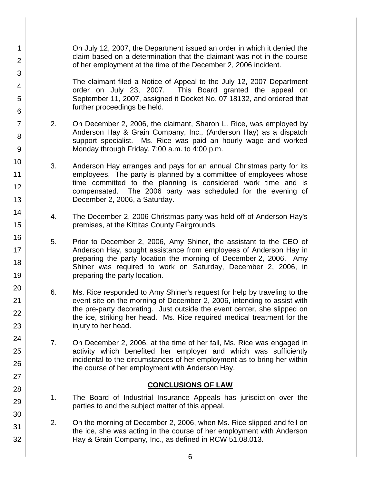On July 12, 2007, the Department issued an order in which it denied the claim based on a determination that the claimant was not in the course of her employment at the time of the December 2, 2006 incident.

1

2

3

4

5

6

7

8

9

10

11 12

13

14

15

16

17

18

19

20

21

22

23

24

25

26

27

28

29

30

31

32

The claimant filed a Notice of Appeal to the July 12, 2007 Department order on July 23, 2007. This Board granted the appeal on September 11, 2007, assigned it Docket No. 07 18132, and ordered that further proceedings be held.

- 2. On December 2, 2006, the claimant, Sharon L. Rice, was employed by Anderson Hay & Grain Company, Inc., (Anderson Hay) as a dispatch support specialist. Ms. Rice was paid an hourly wage and worked Monday through Friday, 7:00 a.m. to 4:00 p.m.
- 3. Anderson Hay arranges and pays for an annual Christmas party for its employees. The party is planned by a committee of employees whose time committed to the planning is considered work time and is compensated. The 2006 party was scheduled for the evening of December 2, 2006, a Saturday.
- 4. The December 2, 2006 Christmas party was held off of Anderson Hay's premises, at the Kittitas County Fairgrounds.
- 5. Prior to December 2, 2006, Amy Shiner, the assistant to the CEO of Anderson Hay, sought assistance from employees of Anderson Hay in preparing the party location the morning of December 2, 2006. Amy Shiner was required to work on Saturday, December 2, 2006, in preparing the party location.
- 6. Ms. Rice responded to Amy Shiner's request for help by traveling to the event site on the morning of December 2, 2006, intending to assist with the pre-party decorating. Just outside the event center, she slipped on the ice, striking her head. Ms. Rice required medical treatment for the injury to her head.
- 7. On December 2, 2006, at the time of her fall, Ms. Rice was engaged in activity which benefited her employer and which was sufficiently incidental to the circumstances of her employment as to bring her within the course of her employment with Anderson Hay.

## **CONCLUSIONS OF LAW**

- 1. The Board of Industrial Insurance Appeals has jurisdiction over the parties to and the subject matter of this appeal.
- 2. On the morning of December 2, 2006, when Ms. Rice slipped and fell on the ice, she was acting in the course of her employment with Anderson Hay & Grain Company, Inc., as defined in RCW 51.08.013.
	- 6